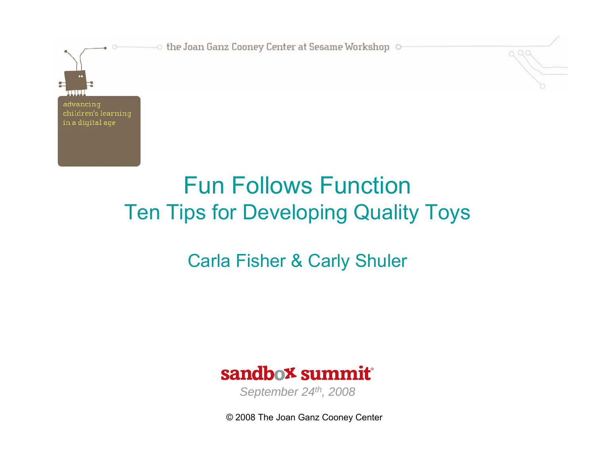

0. Q. (

## Fun Follows FunctionTen Tips for Developing Quality Toys

## Carla Fisher & Carly Shuler



*September 24th, 2008*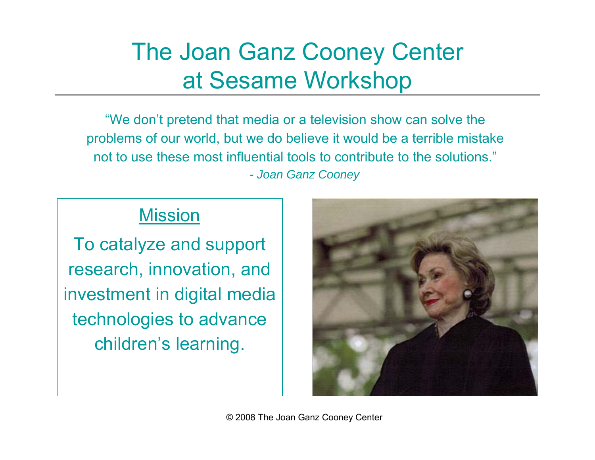## The Joan Ganz Cooney Center at Sesame Workshop

"We don't pretend that media or a television show can solve the problems of our world, but we do believe it would be a terrible mistake not to use these most influential tools to contribute to the solutions."*- Joan Ganz Cooney*

#### Mission

To catalyze and support research, innovation, and investment in digital media technologies to advance children's learning.

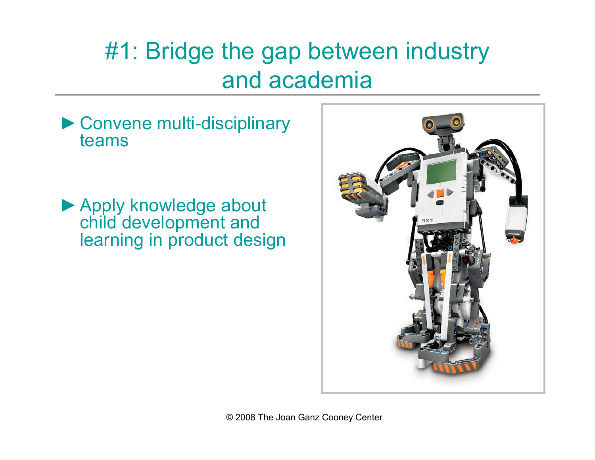## #1: Bridge the gap between industry and academia

►Convene multi-disciplinary teams

▶ Apply knowledge about child development and learning in product design

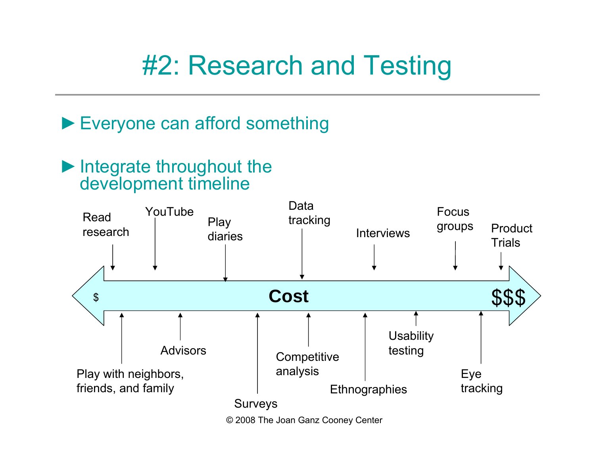# #2: Research and Testing

## ► Everyone can afford something

### ►Integrate throughout the development timeline

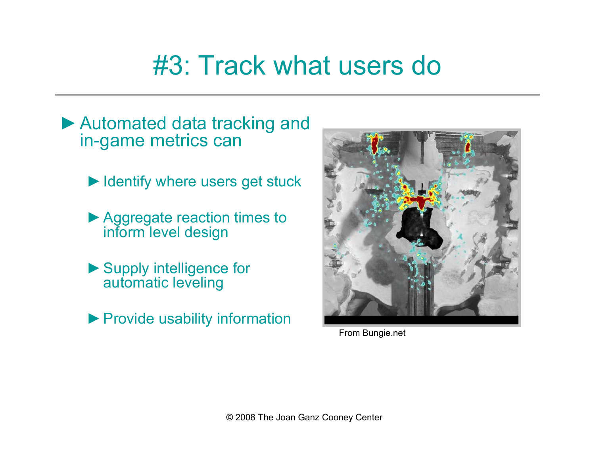# #3: Track what users do

- ►Automated data tracking and in-game metrics can
	- ► Identify where users get stuck
	- ►Aggregate reaction times to inform level design
	- ▶ Supply intelligence for automatic leveling
	- ▶ Provide usability information



From Bungie.net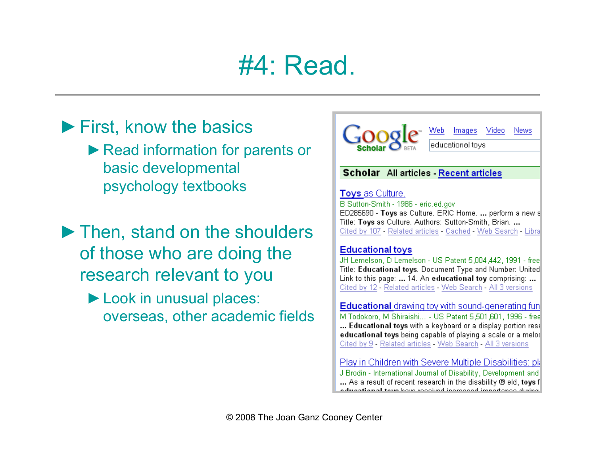## #4: Read.

## ►First, know the basics ▶ Read information for parents or

basic developmental psychology textbooks

- ►Then, stand on the shoulders of those who are doing the research relevant to you
	- ►Look in unusual places: overseas, other academic fields

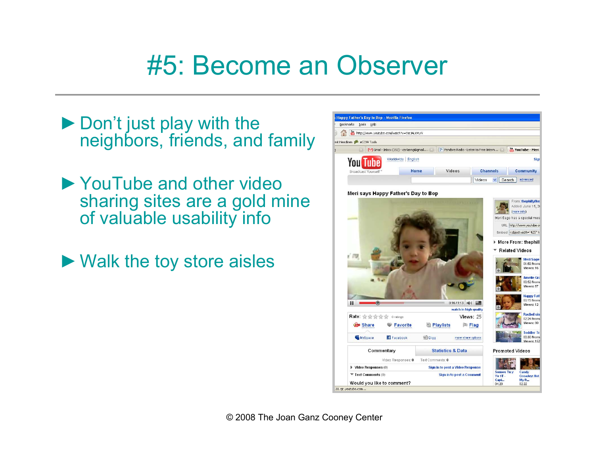# #5: Become an Observer

- ▶ Don't just play with the neighbors, friends, and family
- ►YouTube and other video sharing sites are a gold mine of valuable usability info
- ►Walk the toy store aisles

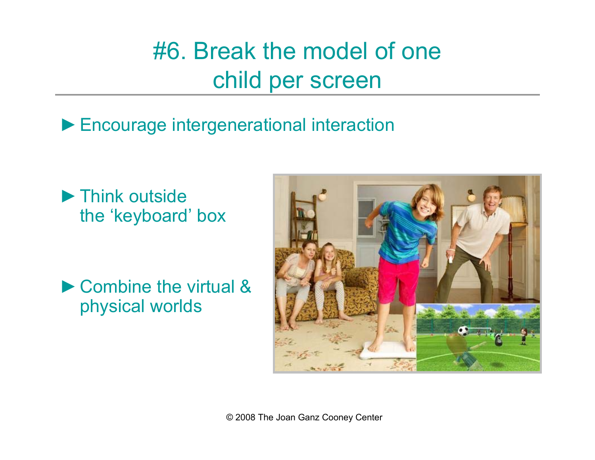## #6. Break the model of one child per screen

►Encourage intergenerational interaction

►Think outside the 'keyboard' box

►Combine the virtual & physical worlds

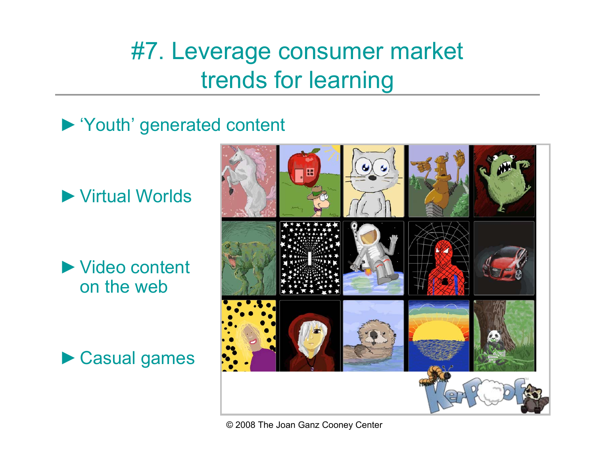## #7. Leverage consumer market trends for learning

►'Youth' generated content

►Virtual Worlds

►Video content on the web



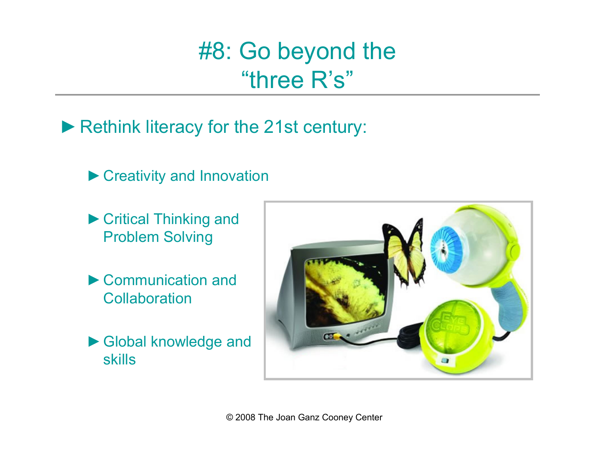#8: Go beyond the "three R's"

▶ Rethink literacy for the 21st century:

▶ Creativity and Innovation

- ►Critical Thinking and Problem Solving
- ►Communication and **Collaboration**
- ►Global knowledge and skills

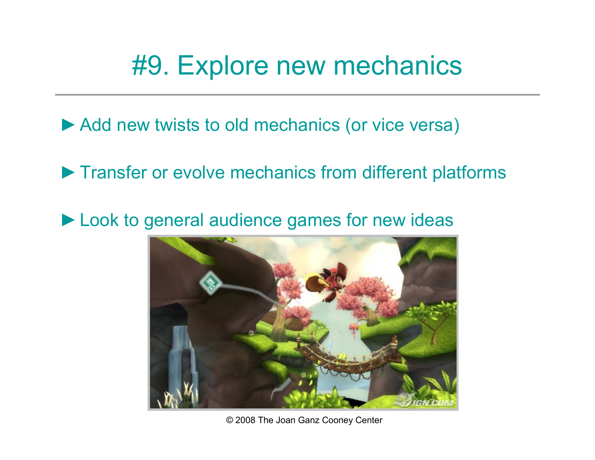## #9. Explore new mechanics

► Add new twists to old mechanics (or vice versa)

▶ Transfer or evolve mechanics from different platforms

►Look to general audience games for new ideas

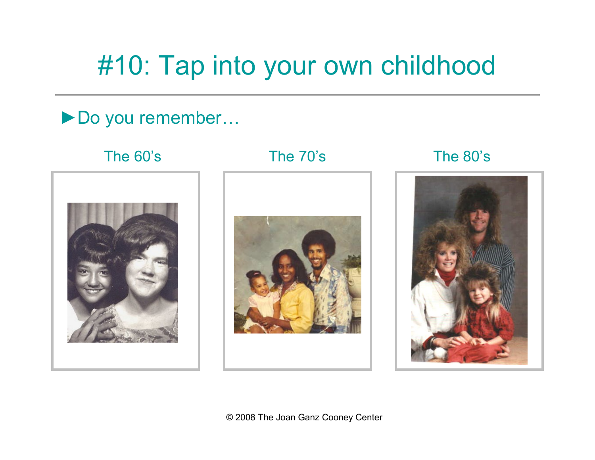# #10: Tap into your own childhood

►Do you remember…

#### The 60's



#### The 70's The 80's